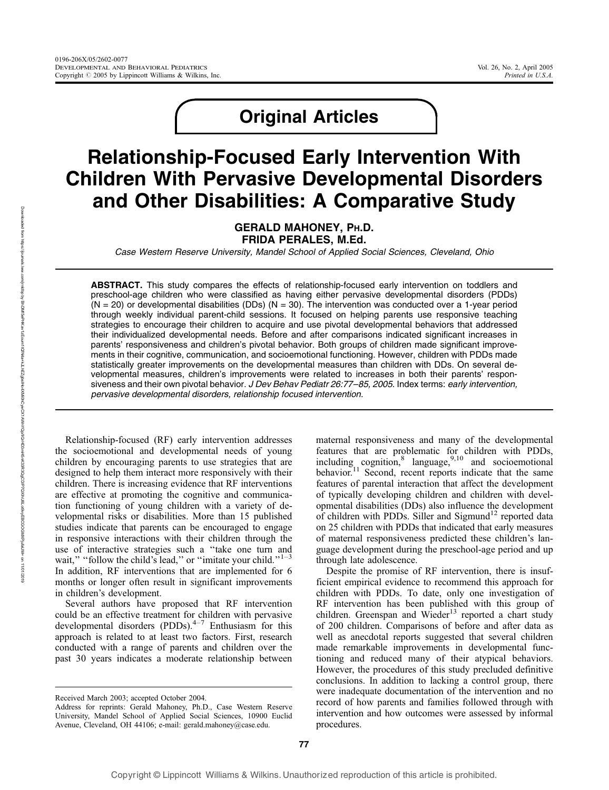# Original Articles

# Relationship-Focused Early Intervention With Children With Pervasive Developmental Disorders and Other Disabilities: A Comparative Study

GERALD MAHONEY, PH.D. FRIDA PERALES, M.Ed.

Case Western Reserve University, Mandel School of Applied Social Sciences, Cleveland, Ohio

ABSTRACT. This study compares the effects of relationship-focused early intervention on toddlers and preschool-age children who were classified as having either pervasive developmental disorders (PDDs)  $(N = 20)$  or developmental disabilities (DDs)  $(N = 30)$ . The intervention was conducted over a 1-year period through weekly individual parent-child sessions. It focused on helping parents use responsive teaching strategies to encourage their children to acquire and use pivotal developmental behaviors that addressed their individualized developmental needs. Before and after comparisons indicated significant increases in parents' responsiveness and children's pivotal behavior. Both groups of children made significant improvements in their cognitive, communication, and socioemotional functioning. However, children with PDDs made statistically greater improvements on the developmental measures than children with DDs. On several developmental measures, children's improvements were related to increases in both their parents' responsiveness and their own pivotal behavior. J Dev Behav Pediatr 26:77–85, 2005. Index terms: early intervention, pervasive developmental disorders, relationship focused intervention.

Relationship-focused (RF) early intervention addresses the socioemotional and developmental needs of young children by encouraging parents to use strategies that are designed to help them interact more responsively with their children. There is increasing evidence that RF interventions are effective at promoting the cognitive and communication functioning of young children with a variety of developmental risks or disabilities. More than 15 published studies indicate that parents can be encouraged to engage in responsive interactions with their children through the use of interactive strategies such a ''take one turn and wait," "follow the child's lead," or "imitate your child." $1-3$ In addition, RF interventions that are implemented for 6 months or longer often result in significant improvements in children's development.

Several authors have proposed that RF intervention could be an effective treatment for children with pervasive developmental disorders  $($ PDDs $)$ .<sup>4-7</sup> Enthusiasm for this approach is related to at least two factors. First, research conducted with a range of parents and children over the past 30 years indicates a moderate relationship between

Received March 2003; accepted October 2004.

maternal responsiveness and many of the developmental features that are problematic for children with PDDs, including cognition, $8$  language, $9,10$  and socioemotional behavior.<sup>11</sup> Second, recent reports indicate that the same features of parental interaction that affect the development of typically developing children and children with developmental disabilities (DDs) also influence the development of children with PDDs. Siller and Sigmund<sup>12</sup> reported data on 25 children with PDDs that indicated that early measures of maternal responsiveness predicted these children's language development during the preschool-age period and up through late adolescence.

Despite the promise of RF intervention, there is insufficient empirical evidence to recommend this approach for children with PDDs. To date, only one investigation of RF intervention has been published with this group of children. Greenspan and Wieder<sup>13</sup> reported a chart study of 200 children. Comparisons of before and after data as well as anecdotal reports suggested that several children made remarkable improvements in developmental functioning and reduced many of their atypical behaviors. However, the procedures of this study precluded definitive conclusions. In addition to lacking a control group, there were inadequate documentation of the intervention and no record of how parents and families followed through with intervention and how outcomes were assessed by informal procedures.

Address for reprints: Gerald Mahoney, Ph.D., Case Western Reserve University, Mandel School of Applied Social Sciences, 10900 Euclid Avenue, Cleveland, OH 44106; e-mail: gerald.mahoney@case.edu.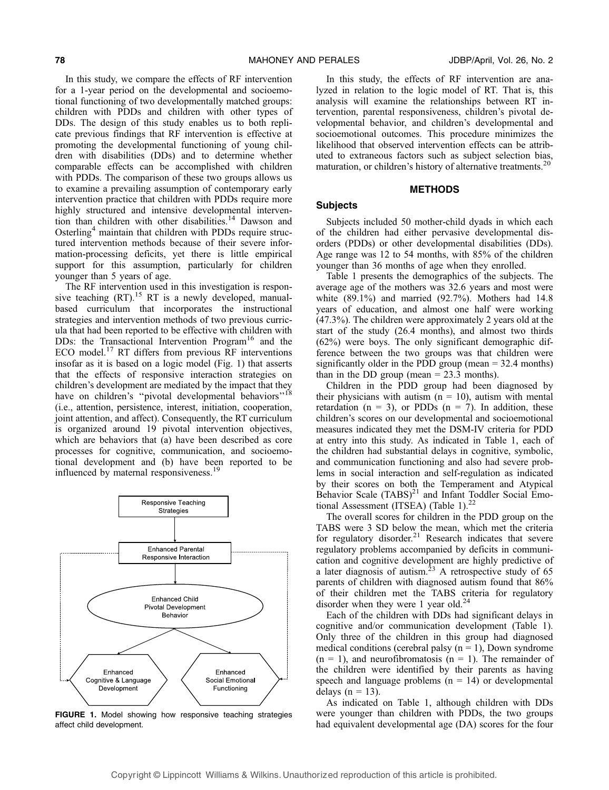In this study, we compare the effects of RF intervention for a 1-year period on the developmental and socioemotional functioning of two developmentally matched groups: children with PDDs and children with other types of DDs. The design of this study enables us to both replicate previous findings that RF intervention is effective at promoting the developmental functioning of young children with disabilities (DDs) and to determine whether comparable effects can be accomplished with children with PDDs. The comparison of these two groups allows us to examine a prevailing assumption of contemporary early intervention practice that children with PDDs require more highly structured and intensive developmental intervention than children with other disabilities.<sup>14</sup> Dawson and Osterling<sup>4</sup> maintain that children with PDDs require structured intervention methods because of their severe information-processing deficits, yet there is little empirical support for this assumption, particularly for children younger than 5 years of age.

The RF intervention used in this investigation is responsive teaching  $(RT)$ <sup>15</sup> RT is a newly developed, manualbased curriculum that incorporates the instructional strategies and intervention methods of two previous curricula that had been reported to be effective with children with DDs: the Transactional Intervention Program<sup>16</sup> and the ECO model.<sup>17</sup> RT differs from previous  $RF$  interventions insofar as it is based on a logic model (Fig. 1) that asserts that the effects of responsive interaction strategies on children's development are mediated by the impact that they have on children's "pivotal developmental behaviors"<sup>18</sup> (i.e., attention, persistence, interest, initiation, cooperation, joint attention, and affect). Consequently, the RT curriculum is organized around 19 pivotal intervention objectives, which are behaviors that (a) have been described as core processes for cognitive, communication, and socioemotional development and (b) have been reported to be influenced by maternal responsiveness.<sup>19</sup>



FIGURE 1. Model showing how responsive teaching strategies affect child development.

In this study, the effects of RF intervention are analyzed in relation to the logic model of RT. That is, this analysis will examine the relationships between RT intervention, parental responsiveness, children's pivotal developmental behavior, and children's developmental and socioemotional outcomes. This procedure minimizes the likelihood that observed intervention effects can be attributed to extraneous factors such as subject selection bias, maturation, or children's history of alternative treatments.<sup>20</sup>

#### METHODS

# **Subjects**

Subjects included 50 mother-child dyads in which each of the children had either pervasive developmental disorders (PDDs) or other developmental disabilities (DDs). Age range was 12 to 54 months, with 85% of the children younger than 36 months of age when they enrolled.

Table 1 presents the demographics of the subjects. The average age of the mothers was 32.6 years and most were white (89.1%) and married (92.7%). Mothers had 14.8 years of education, and almost one half were working (47.3%). The children were approximately 2 years old at the start of the study (26.4 months), and almost two thirds (62%) were boys. The only significant demographic difference between the two groups was that children were significantly older in the PDD group (mean  $=$  32.4 months) than in the DD group (mean  $= 23.3$  months).

Children in the PDD group had been diagnosed by their physicians with autism  $(n = 10)$ , autism with mental retardation ( $n = 3$ ), or PDDs ( $n = 7$ ). In addition, these children's scores on our developmental and socioemotional measures indicated they met the DSM-IV criteria for PDD at entry into this study. As indicated in Table 1, each of the children had substantial delays in cognitive, symbolic, and communication functioning and also had severe problems in social interaction and self-regulation as indicated by their scores on both the Temperament and Atypical Behavior Scale  $(TABS)^{21}$  and Infant Toddler Social Emotional Assessment (ITSEA) (Table 1). $^{22}$ 

The overall scores for children in the PDD group on the TABS were 3 SD below the mean, which met the criteria for regulatory disorder.<sup>21</sup> Research indicates that severe regulatory problems accompanied by deficits in communication and cognitive development are highly predictive of a later diagnosis of autism.<sup>23</sup> A retrospective study of 65 parents of children with diagnosed autism found that 86% of their children met the TABS criteria for regulatory disorder when they were 1 year old. $24$ 

Each of the children with DDs had significant delays in cognitive and/or communication development (Table 1). Only three of the children in this group had diagnosed medical conditions (cerebral palsy  $(n = 1)$ , Down syndrome  $(n = 1)$ , and neurofibromatosis  $(n = 1)$ . The remainder of the children were identified by their parents as having speech and language problems  $(n = 14)$  or developmental delays ( $n = 13$ ).

As indicated on Table 1, although children with DDs were younger than children with PDDs, the two groups had equivalent developmental age (DA) scores for the four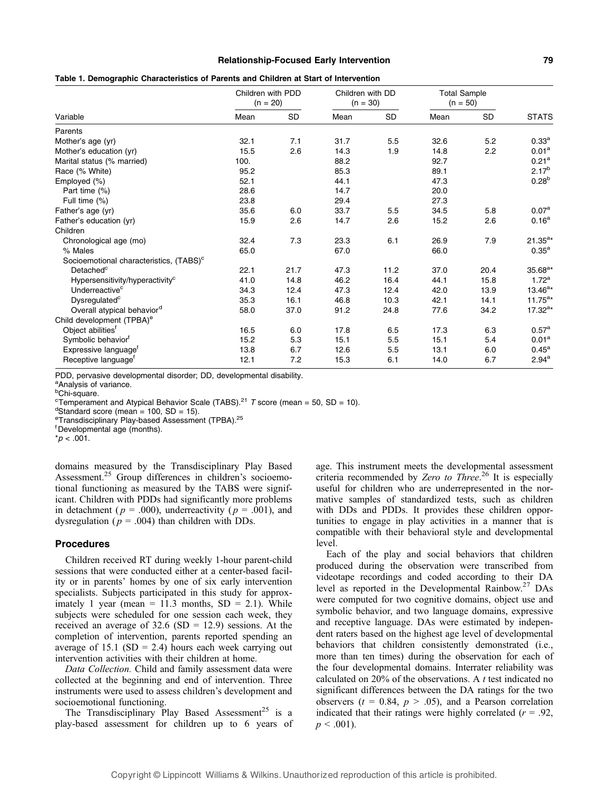#### Relationship-Focused Early Intervention 79

|                                                     | Children with PDD<br>$(n = 20)$ |           | Children with DD<br>$(n = 30)$ |           | <b>Total Sample</b><br>$(n = 50)$ |           |                   |
|-----------------------------------------------------|---------------------------------|-----------|--------------------------------|-----------|-----------------------------------|-----------|-------------------|
| Variable                                            | Mean                            | <b>SD</b> | Mean                           | <b>SD</b> | Mean                              | <b>SD</b> | <b>STATS</b>      |
| Parents                                             |                                 |           |                                |           |                                   |           |                   |
| Mother's age (yr)                                   | 32.1                            | 7.1       | 31.7                           | 5.5       | 32.6                              | 5.2       | 0.33 <sup>a</sup> |
| Mother's education (yr)                             | 15.5                            | 2.6       | 14.3                           | 1.9       | 14.8                              | 2.2       | 0.01 <sup>a</sup> |
| Marital status (% married)                          | 100.                            |           | 88.2                           |           | 92.7                              |           | 0.21 <sup>a</sup> |
| Race (% White)                                      | 95.2                            |           | 85.3                           |           | 89.1                              |           | $2.17^{b}$        |
| Employed (%)                                        | 52.1                            |           | 44.1                           |           | 47.3                              |           | $0.28^{b}$        |
| Part time (%)                                       | 28.6                            |           | 14.7                           |           | 20.0                              |           |                   |
| Full time (%)                                       | 23.8                            |           | 29.4                           |           | 27.3                              |           |                   |
| Father's age (yr)                                   | 35.6                            | 6.0       | 33.7                           | 5.5       | 34.5                              | 5.8       | 0.07 <sup>a</sup> |
| Father's education (yr)                             | 15.9                            | 2.6       | 14.7                           | 2.6       | 15.2                              | 2.6       | $0.16^{a}$        |
| Children                                            |                                 |           |                                |           |                                   |           |                   |
| Chronological age (mo)                              | 32.4                            | 7.3       | 23.3                           | 6.1       | 26.9                              | 7.9       | $21.35^{a*}$      |
| % Males                                             | 65.0                            |           | 67.0                           |           | 66.0                              |           | 0.35 <sup>a</sup> |
| Socioemotional characteristics, (TABS) <sup>c</sup> |                                 |           |                                |           |                                   |           |                   |
| Detached <sup>c</sup>                               | 22.1                            | 21.7      | 47.3                           | 11.2      | 37.0                              | 20.4      | $35.68^{a*}$      |
| Hypersensitivity/hyperactivity <sup>c</sup>         | 41.0                            | 14.8      | 46.2                           | 16.4      | 44.1                              | 15.8      | $1.72^{\rm a}$    |
| Underreactive <sup>c</sup>                          | 34.3                            | 12.4      | 47.3                           | 12.4      | 42.0                              | 13.9      | $13.46^{a*}$      |
| Dysregulated <sup>c</sup>                           | 35.3                            | 16.1      | 46.8                           | 10.3      | 42.1                              | 14.1      | $11.75^{a*}$      |
| Overall atypical behavior <sup>d</sup>              | 58.0                            | 37.0      | 91.2                           | 24.8      | 77.6                              | 34.2      | $17.32^{a*}$      |
| Child development (TPBA) <sup>e</sup>               |                                 |           |                                |           |                                   |           |                   |
| Object abilities <sup>t</sup>                       | 16.5                            | 6.0       | 17.8                           | 6.5       | 17.3                              | 6.3       | $0.57^{\rm a}$    |
| Symbolic behavior <sup>f</sup>                      | 15.2                            | 5.3       | 15.1                           | 5.5       | 15.1                              | 5.4       | 0.01 <sup>a</sup> |
| Expressive language <sup>t</sup>                    | 13.8                            | 6.7       | 12.6                           | 5.5       | 13.1                              | 6.0       | $0.45^{\rm a}$    |
| Receptive language <sup>t</sup>                     | 12.1                            | 7.2       | 15.3                           | 6.1       | 14.0                              | 6.7       | $2.94^{\rm a}$    |

PDD, pervasive developmental disorder; DD, developmental disability.

<sup>a</sup>Analysis of variance.

<sup>b</sup>Chi-square.

<sup>c</sup>Temperament and Atypical Behavior Scale (TABS).<sup>21</sup> *T* score (mean = 50, SD = 10).<br><sup>d</sup>Standard score (mean = 100, SD = 15)

 $\text{d}$ Standard score (mean = 100, SD = 15).

<sup>e</sup>Transdisciplinary Play-based Assessment (TPBA).<sup>25</sup>

f Developmental age (months).

 $*p < .001$ .

domains measured by the Transdisciplinary Play Based Assessment.<sup>25</sup> Group differences in children's socioemotional functioning as measured by the TABS were significant. Children with PDDs had significantly more problems in detachment ( $p = .000$ ), underreactivity ( $p = .001$ ), and dysregulation ( $p = .004$ ) than children with DDs.

#### Procedures

Children received RT during weekly 1-hour parent-child sessions that were conducted either at a center-based facility or in parents' homes by one of six early intervention specialists. Subjects participated in this study for approximately 1 year (mean = 11.3 months,  $SD = 2.1$ ). While subjects were scheduled for one session each week, they received an average of  $32.6$  (SD = 12.9) sessions. At the completion of intervention, parents reported spending an average of 15.1 ( $SD = 2.4$ ) hours each week carrying out intervention activities with their children at home.

Data Collection. Child and family assessment data were collected at the beginning and end of intervention. Three instruments were used to assess children's development and socioemotional functioning.

The Transdisciplinary Play Based Assessment<sup>25</sup> is a play-based assessment for children up to 6 years of age. This instrument meets the developmental assessment criteria recommended by Zero to Three.<sup>26</sup> It is especially useful for children who are underrepresented in the normative samples of standardized tests, such as children with DDs and PDDs. It provides these children opportunities to engage in play activities in a manner that is compatible with their behavioral style and developmental level.

Each of the play and social behaviors that children produced during the observation were transcribed from videotape recordings and coded according to their DA level as reported in the Developmental Rainbow.<sup>27</sup> DAs were computed for two cognitive domains, object use and symbolic behavior, and two language domains, expressive and receptive language. DAs were estimated by independent raters based on the highest age level of developmental behaviors that children consistently demonstrated (i.e., more than ten times) during the observation for each of the four developmental domains. Interrater reliability was calculated on  $20\%$  of the observations. A t test indicated no significant differences between the DA ratings for the two observers ( $t = 0.84$ ,  $p > .05$ ), and a Pearson correlation indicated that their ratings were highly correlated ( $r = .92$ ,  $p < .001$ ).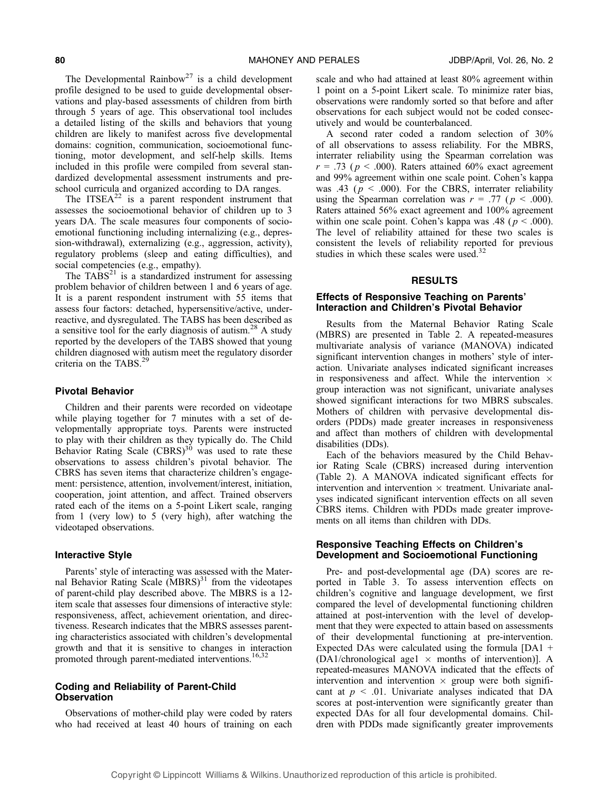The Developmental Rainbow<sup>27</sup> is a child development profile designed to be used to guide developmental observations and play-based assessments of children from birth through 5 years of age. This observational tool includes a detailed listing of the skills and behaviors that young children are likely to manifest across five developmental domains: cognition, communication, socioemotional functioning, motor development, and self-help skills. Items included in this profile were compiled from several standardized developmental assessment instruments and preschool curricula and organized according to DA ranges.

The ITSE $A^{22}$  is a parent respondent instrument that assesses the socioemotional behavior of children up to 3 years DA. The scale measures four components of socioemotional functioning including internalizing (e.g., depression-withdrawal), externalizing (e.g., aggression, activity), regulatory problems (sleep and eating difficulties), and social competencies (e.g., empathy).

The  $TABS<sup>21</sup>$  is a standardized instrument for assessing problem behavior of children between 1 and 6 years of age. It is a parent respondent instrument with 55 items that assess four factors: detached, hypersensitive/active, underreactive, and dysregulated. The TABS has been described as a sensitive tool for the early diagnosis of autism.<sup>28</sup> A study reported by the developers of the TABS showed that young children diagnosed with autism meet the regulatory disorder criteria on the TABS.<sup>29</sup>

# Pivotal Behavior

Children and their parents were recorded on videotape while playing together for 7 minutes with a set of developmentally appropriate toys. Parents were instructed to play with their children as they typically do. The Child Behavior Rating Scale (CBRS)<sup>30</sup> was used to rate these observations to assess children's pivotal behavior. The CBRS has seven items that characterize children's engagement: persistence, attention, involvement/interest, initiation, cooperation, joint attention, and affect. Trained observers rated each of the items on a 5-point Likert scale, ranging from 1 (very low) to 5 (very high), after watching the videotaped observations.

#### Interactive Style

Parents' style of interacting was assessed with the Maternal Behavior Rating Scale  $(MBRS)^{31}$  from the videotapes of parent-child play described above. The MBRS is a 12 item scale that assesses four dimensions of interactive style: responsiveness, affect, achievement orientation, and directiveness. Research indicates that the MBRS assesses parenting characteristics associated with children's developmental growth and that it is sensitive to changes in interaction promoted through parent-mediated interventions.<sup>16,32</sup>

# Coding and Reliability of Parent-Child **Observation**

Observations of mother-child play were coded by raters who had received at least 40 hours of training on each scale and who had attained at least 80% agreement within 1 point on a 5-point Likert scale. To minimize rater bias, observations were randomly sorted so that before and after observations for each subject would not be coded consecutively and would be counterbalanced.

A second rater coded a random selection of 30% of all observations to assess reliability. For the MBRS, interrater reliability using the Spearman correlation was  $r = .73$  ( $p < .000$ ). Raters attained 60% exact agreement and 99% agreement within one scale point. Cohen's kappa was .43 ( $p < .000$ ). For the CBRS, interrater reliability using the Spearman correlation was  $r = .77$  ( $p < .000$ ). Raters attained 56% exact agreement and 100% agreement within one scale point. Cohen's kappa was .48 ( $p < .000$ ). The level of reliability attained for these two scales is consistent the levels of reliability reported for previous studies in which these scales were used.<sup>32</sup>

#### RESULTS

# Effects of Responsive Teaching on Parents' Interaction and Children's Pivotal Behavior

Results from the Maternal Behavior Rating Scale (MBRS) are presented in Table 2. A repeated-measures multivariate analysis of variance (MANOVA) indicated significant intervention changes in mothers' style of interaction. Univariate analyses indicated significant increases in responsiveness and affect. While the intervention  $\times$ group interaction was not significant, univariate analyses showed significant interactions for two MBRS subscales. Mothers of children with pervasive developmental disorders (PDDs) made greater increases in responsiveness and affect than mothers of children with developmental disabilities (DDs).

Each of the behaviors measured by the Child Behavior Rating Scale (CBRS) increased during intervention (Table 2). A MANOVA indicated significant effects for intervention and intervention  $\times$  treatment. Univariate analyses indicated significant intervention effects on all seven CBRS items. Children with PDDs made greater improvements on all items than children with DDs.

### Responsive Teaching Effects on Children's Development and Socioemotional Functioning

Pre- and post-developmental age (DA) scores are reported in Table 3. To assess intervention effects on children's cognitive and language development, we first compared the level of developmental functioning children attained at post-intervention with the level of development that they were expected to attain based on assessments of their developmental functioning at pre-intervention. Expected DAs were calculated using the formula  $[DA1 +$ (DA1/chronological age1  $\times$  months of intervention)]. A repeated-measures MANOVA indicated that the effects of intervention and intervention  $\times$  group were both significant at  $p \leq 0.01$ . Univariate analyses indicated that DA scores at post-intervention were significantly greater than expected DAs for all four developmental domains. Children with PDDs made significantly greater improvements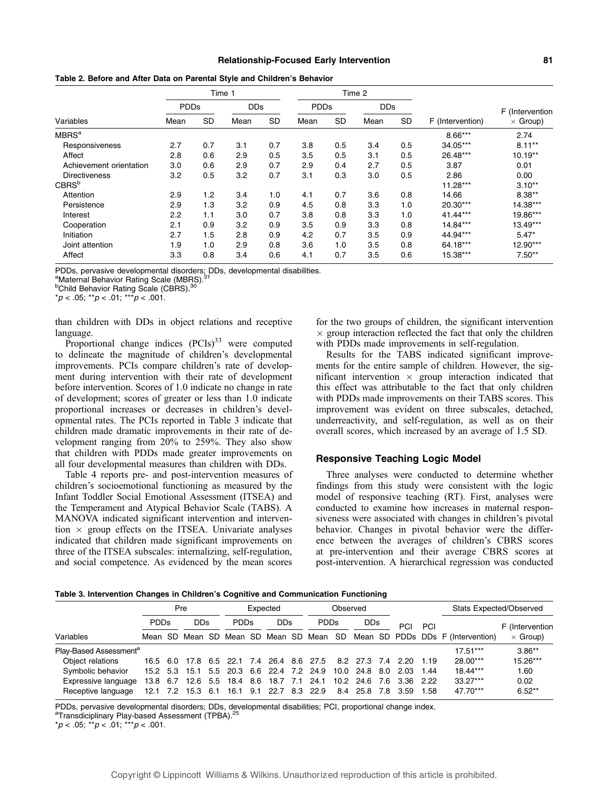|                         |      |           | Time 1     |           |      |           | Time 2     |           |                  |                 |
|-------------------------|------|-----------|------------|-----------|------|-----------|------------|-----------|------------------|-----------------|
|                         | PDDs |           | <b>DDs</b> |           | PDDs |           | <b>DDs</b> |           |                  | F (Intervention |
| Variables               | Mean | <b>SD</b> | Mean       | <b>SD</b> | Mean | <b>SD</b> | Mean       | <b>SD</b> | F (Intervention) | $\times$ Group) |
| MBRS <sup>a</sup>       |      |           |            |           |      |           |            |           | 8.66***          | 2.74            |
| Responsiveness          | 2.7  | 0.7       | 3.1        | 0.7       | 3.8  | 0.5       | 3.4        | 0.5       | 34.05***         | $8.11***$       |
| Affect                  | 2.8  | 0.6       | 2.9        | 0.5       | 3.5  | 0.5       | 3.1        | 0.5       | 26.48***         | $10.19**$       |
| Achievement orientation | 3.0  | 0.6       | 2.9        | 0.7       | 2.9  | 0.4       | 2.7        | 0.5       | 3.87             | 0.01            |
| <b>Directiveness</b>    | 3.2  | 0.5       | 3.2        | 0.7       | 3.1  | 0.3       | 3.0        | 0.5       | 2.86             | 0.00            |
| CBRS <sup>b</sup>       |      |           |            |           |      |           |            |           | 11.28***         | $3.10**$        |
| Attention               | 2.9  | 1.2       | 3.4        | 1.0       | 4.1  | 0.7       | 3.6        | 0.8       | 14.66            | $8.38**$        |
| Persistence             | 2.9  | 1.3       | 3.2        | 0.9       | 4.5  | 0.8       | 3.3        | 1.0       | 20.30***         | 14.38***        |
| Interest                | 2.2  | 1.1       | 3.0        | 0.7       | 3.8  | 0.8       | 3.3        | 1.0       | 41.44***         | 19.86***        |
| Cooperation             | 2.1  | 0.9       | 3.2        | 0.9       | 3.5  | 0.9       | 3.3        | 0.8       | 14.84***         | 13.49***        |
| Initiation              | 2.7  | 1.5       | 2.8        | 0.9       | 4.2  | 0.7       | 3.5        | 0.9       | 44.94***         | $5.47*$         |
| Joint attention         | 1.9  | 1.0       | 2.9        | 0.8       | 3.6  | 1.0       | 3.5        | 0.8       | 64.18***         | 12.90***        |
| Affect                  | 3.3  | 0.8       | 3.4        | 0.6       | 4.1  | 0.7       | 3.5        | 0.6       | 15.38***         | $7.50**$        |

Table 2. Before and After Data on Parental Style and Children's Behavior

PDDs, pervasive developmental disorders; DDs, developmental disabilities.

<sup>a</sup>Maternal Behavior Rating Scale (MBRS).<sup>31</sup>

<sup>b</sup>Child Behavior Rating Scale (CBRS).<sup>30</sup>

\*p < .05; \*\*p < .01; \*\*\*p < .001.

than children with DDs in object relations and receptive language.

Proportional change indices  $(PCIs)^{33}$  were computed to delineate the magnitude of children's developmental improvements. PCIs compare children's rate of development during intervention with their rate of development before intervention. Scores of 1.0 indicate no change in rate of development; scores of greater or less than 1.0 indicate proportional increases or decreases in children's developmental rates. The PCIs reported in Table 3 indicate that children made dramatic improvements in their rate of development ranging from 20% to 259%. They also show that children with PDDs made greater improvements on all four developmental measures than children with DDs.

Table 4 reports pre- and post-intervention measures of children's socioemotional functioning as measured by the Infant Toddler Social Emotional Assessment (ITSEA) and the Temperament and Atypical Behavior Scale (TABS). A MANOVA indicated significant intervention and intervention  $\times$  group effects on the ITSEA. Univariate analyses indicated that children made significant improvements on three of the ITSEA subscales: internalizing, self-regulation, and social competence. As evidenced by the mean scores

for the two groups of children, the significant intervention  $\times$  group interaction reflected the fact that only the children with PDDs made improvements in self-regulation.

Results for the TABS indicated significant improvements for the entire sample of children. However, the significant intervention  $\times$  group interaction indicated that this effect was attributable to the fact that only children with PDDs made improvements on their TABS scores. This improvement was evident on three subscales, detached, underreactivity, and self-regulation, as well as on their overall scores, which increased by an average of 1.5 SD.

#### Responsive Teaching Logic Model

Three analyses were conducted to determine whether findings from this study were consistent with the logic model of responsive teaching (RT). First, analyses were conducted to examine how increases in maternal responsiveness were associated with changes in children's pivotal behavior. Changes in pivotal behavior were the difference between the averages of children's CBRS scores at pre-intervention and their average CBRS scores at post-intervention. A hierarchical regression was conducted

|  |  | Table 3. Intervention Changes in Children's Cognitive and Communication Functioning |  |
|--|--|-------------------------------------------------------------------------------------|--|
|  |  |                                                                                     |  |

|                                    |             |     | Pre                                                |                                 | Expected          |             | Observed |                    |            |            | Stats Expected/Observed           |                 |
|------------------------------------|-------------|-----|----------------------------------------------------|---------------------------------|-------------------|-------------|----------|--------------------|------------|------------|-----------------------------------|-----------------|
|                                    | <b>PDDs</b> |     | <b>DDs</b>                                         | <b>PDDs</b>                     | <b>DDs</b>        | <b>PDDs</b> |          | <b>DDs</b>         | <b>PCI</b> | <b>PCI</b> |                                   | F (Intervention |
| Variables                          |             |     | Mean SD Mean SD Mean SD Mean SD Mean SD            |                                 |                   |             |          |                    |            |            | Mean SD PDDs DDs F (Intervention) | $\times$ Group) |
| Play-Based Assessment <sup>a</sup> |             |     |                                                    |                                 |                   |             |          |                    |            |            | $17.51***$                        | $3.86**$        |
| Object relations                   |             |     | 16.5 6.0 17.8 6.5 22.1                             |                                 | 7.4 26.4 8.6 27.5 |             |          | 8.2 27.3 7.4 2.20  |            | 1.19       | $28.00***$                        | $15.26***$      |
| Symbolic behavior                  |             |     | 15.2 5.3 15.1 5.5 20.3 6.6 22.4 7.2 24.9 10.0 24.8 |                                 |                   |             |          |                    | 8.0 2.03   | 1.44       | 18.44***                          | 1.60            |
| Expressive language                | 13.8        |     | 6.7 12.6                                           | 5.5 18.4 8.6                    | 18.7 7.1          | 24.1        |          | 10.2 24.6 7.6 3.36 |            | 2.22       | $33.27***$                        | 0.02            |
| Receptive language                 | 12.1        | 7.2 |                                                    | 15.3 6.1 16.1 9.1 22.7 8.3 22.9 |                   |             | 8.4      | 25.8 7.8 3.59      |            | 1.58       | 47.70***                          | $6.52**$        |

PDDs, pervasive developmental disorders; DDs, developmental disabilities; PCI, proportional change index.

<sup>a</sup>Transdiciplinary Play-based Assessment (TPBA).<sup>25</sup>

 $*p < .05; **p < .01; **p < .001.$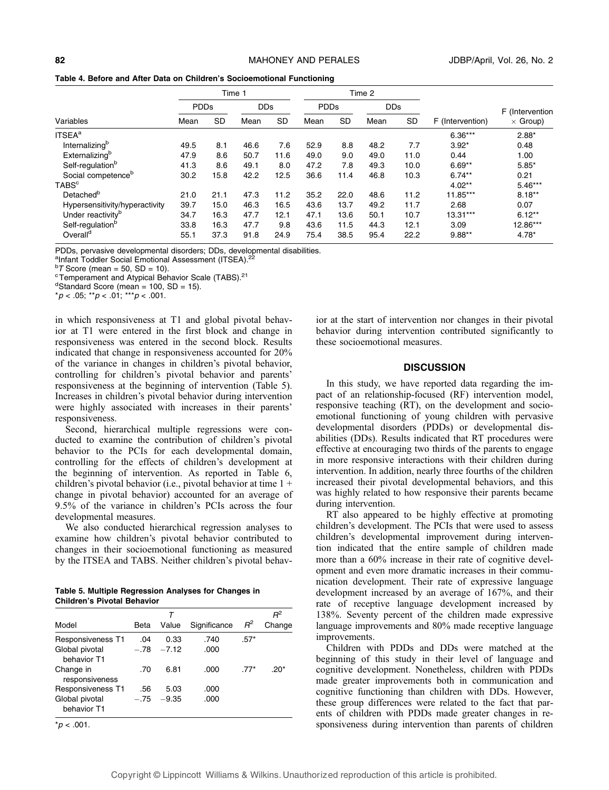| Table 4. Before and After Data on Children's Socioemotional Functioning |  |
|-------------------------------------------------------------------------|--|
|-------------------------------------------------------------------------|--|

|                                |             |           | Time 1 |            |      |             | Time 2 |            |                  |                    |  |
|--------------------------------|-------------|-----------|--------|------------|------|-------------|--------|------------|------------------|--------------------|--|
|                                | <b>PDDs</b> |           |        | <b>DDs</b> |      | <b>PDDs</b> |        | <b>DDs</b> |                  | F<br>(Intervention |  |
| Variables                      | Mean        | <b>SD</b> | Mean   | <b>SD</b>  | Mean | <b>SD</b>   | Mean   | <b>SD</b>  | F (Intervention) | $\times$ Group)    |  |
| <b>ITSEA<sup>a</sup></b>       |             |           |        |            |      |             |        |            | $6.36***$        | $2.88*$            |  |
| Internalizing <sup>b</sup>     | 49.5        | 8.1       | 46.6   | 7.6        | 52.9 | 8.8         | 48.2   | 7.7        | $3.92*$          | 0.48               |  |
| Externalizing <sup>b</sup>     | 47.9        | 8.6       | 50.7   | 11.6       | 49.0 | 9.0         | 49.0   | 11.0       | 0.44             | 1.00               |  |
| Self-regulation <sup>b</sup>   | 41.3        | 8.6       | 49.1   | 8.0        | 47.2 | 7.8         | 49.3   | 10.0       | $6.69**$         | $5.85*$            |  |
| Social competence <sup>p</sup> | 30.2        | 15.8      | 42.2   | 12.5       | 36.6 | 11.4        | 46.8   | 10.3       | $6.74**$         | 0.21               |  |
| <b>TABS<sup>c</sup></b>        |             |           |        |            |      |             |        |            | $4.02***$        | $5.46***$          |  |
| Detached <sup>b</sup>          | 21.0        | 21.1      | 47.3   | 11.2       | 35.2 | 22.0        | 48.6   | 11.2       | 11.85***         | $8.18**$           |  |
| Hypersensitivity/hyperactivity | 39.7        | 15.0      | 46.3   | 16.5       | 43.6 | 13.7        | 49.2   | 11.7       | 2.68             | 0.07               |  |
| Under reactivity <sup>b</sup>  | 34.7        | 16.3      | 47.7   | 12.1       | 47.1 | 13.6        | 50.1   | 10.7       | $13.31***$       | $6.12***$          |  |
| Self-regulation <sup>b</sup>   | 33.8        | 16.3      | 47.7   | 9.8        | 43.6 | 11.5        | 44.3   | 12.1       | 3.09             | 12.86***           |  |
| Overall <sup>a</sup>           | 55.1        | 37.3      | 91.8   | 24.9       | 75.4 | 38.5        | 95.4   | 22.2       | $9.88**$         | $4.78*$            |  |

PDDs, pervasive developmental disorders; DDs, developmental disabilities.

<sup>a</sup>Infant Toddler Social Emotional Assessment (ITSEA).<sup>22</sup>

 ${}^{b}T$  Score (mean = 50, SD = 10).

<sup>c</sup> Temperament and Atypical Behavior Scale (TABS).<sup>21</sup>

 $d$ Standard Score (mean = 100, SD = 15).

\* $p < .05$ ; \*\* $p < .01$ ; \*\*\* $p < .001$ .

in which responsiveness at T1 and global pivotal behavior at T1 were entered in the first block and change in responsiveness was entered in the second block. Results indicated that change in responsiveness accounted for 20% of the variance in changes in children's pivotal behavior, controlling for children's pivotal behavior and parents' responsiveness at the beginning of intervention (Table 5). Increases in children's pivotal behavior during intervention were highly associated with increases in their parents' responsiveness.

Second, hierarchical multiple regressions were conducted to examine the contribution of children's pivotal behavior to the PCIs for each developmental domain, controlling for the effects of children's development at the beginning of intervention. As reported in Table 6, children's pivotal behavior (i.e., pivotal behavior at time 1 + change in pivotal behavior) accounted for an average of 9.5% of the variance in children's PCIs across the four developmental measures.

We also conducted hierarchical regression analyses to examine how children's pivotal behavior contributed to changes in their socioemotional functioning as measured by the ITSEA and TABS. Neither children's pivotal behav-

Table 5. Multiple Regression Analyses for Changes in Children's Pivotal Behavior

|                               |        | т       |              |                | $R^2$  |
|-------------------------------|--------|---------|--------------|----------------|--------|
| Model                         | Beta   | Value   | Significance | B <sup>2</sup> | Change |
| <b>Responsiveness T1</b>      | .04    | 0.33    | .740         | $.57*$         |        |
| Global pivotal<br>behavior T1 | $-.78$ | $-7.12$ | .000         |                |        |
| Change in<br>responsiveness   | .70    | 6.81    | .000         | $.77*$         | .20*   |
| <b>Responsiveness T1</b>      | .56    | 5.03    | .000         |                |        |
| Global pivotal<br>behavior T1 | $-.75$ | $-9.35$ | .000         |                |        |

 $*p < .001$ .

ior at the start of intervention nor changes in their pivotal behavior during intervention contributed significantly to these socioemotional measures.

# **DISCUSSION**

In this study, we have reported data regarding the impact of an relationship-focused (RF) intervention model, responsive teaching (RT), on the development and socioemotional functioning of young children with pervasive developmental disorders (PDDs) or developmental disabilities (DDs). Results indicated that RT procedures were effective at encouraging two thirds of the parents to engage in more responsive interactions with their children during intervention. In addition, nearly three fourths of the children increased their pivotal developmental behaviors, and this was highly related to how responsive their parents became during intervention.

RT also appeared to be highly effective at promoting children's development. The PCIs that were used to assess children's developmental improvement during intervention indicated that the entire sample of children made more than a 60% increase in their rate of cognitive development and even more dramatic increases in their communication development. Their rate of expressive language development increased by an average of 167%, and their rate of receptive language development increased by 138%. Seventy percent of the children made expressive language improvements and 80% made receptive language improvements.

Children with PDDs and DDs were matched at the beginning of this study in their level of language and cognitive development. Nonetheless, children with PDDs made greater improvements both in communication and cognitive functioning than children with DDs. However, these group differences were related to the fact that parents of children with PDDs made greater changes in responsiveness during intervention than parents of children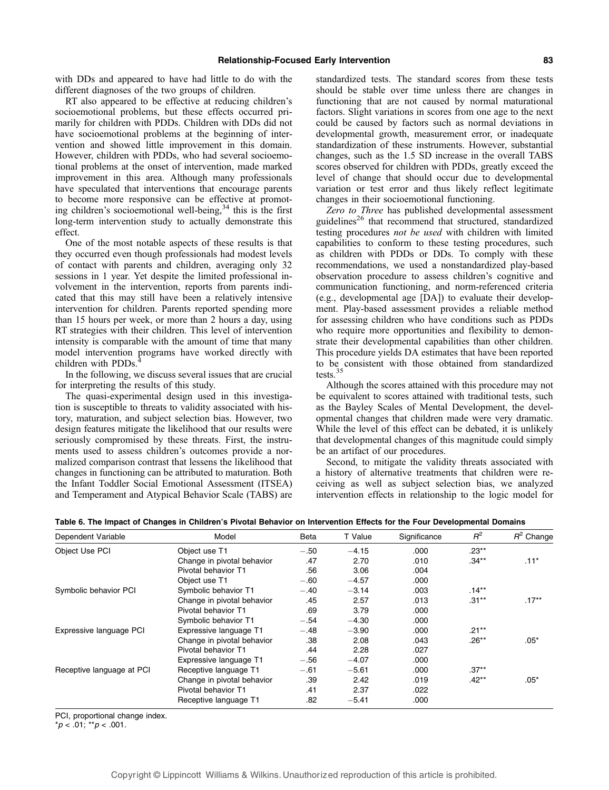with DDs and appeared to have had little to do with the different diagnoses of the two groups of children.

RT also appeared to be effective at reducing children's socioemotional problems, but these effects occurred primarily for children with PDDs. Children with DDs did not have socioemotional problems at the beginning of intervention and showed little improvement in this domain. However, children with PDDs, who had several socioemotional problems at the onset of intervention, made marked improvement in this area. Although many professionals have speculated that interventions that encourage parents to become more responsive can be effective at promoting children's socioemotional well-being,<sup>34</sup> this is the first long-term intervention study to actually demonstrate this effect.

One of the most notable aspects of these results is that they occurred even though professionals had modest levels of contact with parents and children, averaging only 32 sessions in 1 year. Yet despite the limited professional involvement in the intervention, reports from parents indicated that this may still have been a relatively intensive intervention for children. Parents reported spending more than 15 hours per week, or more than 2 hours a day, using RT strategies with their children. This level of intervention intensity is comparable with the amount of time that many model intervention programs have worked directly with children with PDDs.

In the following, we discuss several issues that are crucial for interpreting the results of this study.

The quasi-experimental design used in this investigation is susceptible to threats to validity associated with history, maturation, and subject selection bias. However, two design features mitigate the likelihood that our results were seriously compromised by these threats. First, the instruments used to assess children's outcomes provide a normalized comparison contrast that lessens the likelihood that changes in functioning can be attributed to maturation. Both the Infant Toddler Social Emotional Assessment (ITSEA) and Temperament and Atypical Behavior Scale (TABS) are standardized tests. The standard scores from these tests should be stable over time unless there are changes in functioning that are not caused by normal maturational factors. Slight variations in scores from one age to the next could be caused by factors such as normal deviations in developmental growth, measurement error, or inadequate standardization of these instruments. However, substantial changes, such as the 1.5 SD increase in the overall TABS scores observed for children with PDDs, greatly exceed the level of change that should occur due to developmental variation or test error and thus likely reflect legitimate changes in their socioemotional functioning.

Zero to Three has published developmental assessment guidelines<sup>26</sup> that recommend that structured, standardized testing procedures not be used with children with limited capabilities to conform to these testing procedures, such as children with PDDs or DDs. To comply with these recommendations, we used a nonstandardized play-based observation procedure to assess children's cognitive and communication functioning, and norm-referenced criteria (e.g., developmental age [DA]) to evaluate their development. Play-based assessment provides a reliable method for assessing children who have conditions such as PDDs who require more opportunities and flexibility to demonstrate their developmental capabilities than other children. This procedure yields DA estimates that have been reported to be consistent with those obtained from standardized tests.<sup>35</sup>

Although the scores attained with this procedure may not be equivalent to scores attained with traditional tests, such as the Bayley Scales of Mental Development, the developmental changes that children made were very dramatic. While the level of this effect can be debated, it is unlikely that developmental changes of this magnitude could simply be an artifact of our procedures.

Second, to mitigate the validity threats associated with a history of alternative treatments that children were receiving as well as subject selection bias, we analyzed intervention effects in relationship to the logic model for

|  |  |  | Table 6. The Impact of Changes in Children's Pivotal Behavior on Intervention Effects for the Four Developmental Domains |  |
|--|--|--|--------------------------------------------------------------------------------------------------------------------------|--|
|--|--|--|--------------------------------------------------------------------------------------------------------------------------|--|

| Dependent Variable        | Model                      | Beta   | T Value | Significance | $R^2$    | $R^2$ Change |
|---------------------------|----------------------------|--------|---------|--------------|----------|--------------|
| Object Use PCI            | Object use T1              | $-.50$ | $-4.15$ | .000         | $.23**$  |              |
|                           | Change in pivotal behavior | .47    | 2.70    | .010         | $.34***$ | $.11*$       |
|                           | Pivotal behavior T1        | .56    | 3.06    | .004         |          |              |
|                           | Object use T1              | $-.60$ | $-4.57$ | .000         |          |              |
| Symbolic behavior PCI     | Symbolic behavior T1       | $-.40$ | $-3.14$ | .003         | $.14***$ |              |
|                           | Change in pivotal behavior | .45    | 2.57    | .013         | $.31***$ | $.17***$     |
|                           | Pivotal behavior T1        | .69    | 3.79    | .000         |          |              |
|                           | Symbolic behavior T1       | $-.54$ | $-4.30$ | .000         |          |              |
| Expressive language PCI   | Expressive language T1     | $-.48$ | $-3.90$ | .000         | $.21***$ |              |
|                           | Change in pivotal behavior | .38    | 2.08    | .043         | $.26**$  | $.05*$       |
|                           | Pivotal behavior T1        | .44    | 2.28    | .027         |          |              |
|                           | Expressive language T1     | $-.56$ | $-4.07$ | .000         |          |              |
| Receptive language at PCI | Receptive language T1      | $-.61$ | $-5.61$ | .000         | $.37***$ |              |
|                           | Change in pivotal behavior | .39    | 2.42    | .019         | $.42**$  | $.05*$       |
|                           | Pivotal behavior T1        | .41    | 2.37    | .022         |          |              |
|                           | Receptive language T1      | .82    | $-5.41$ | .000         |          |              |

PCI, proportional change index.

 $*p < .01; **p < .001.$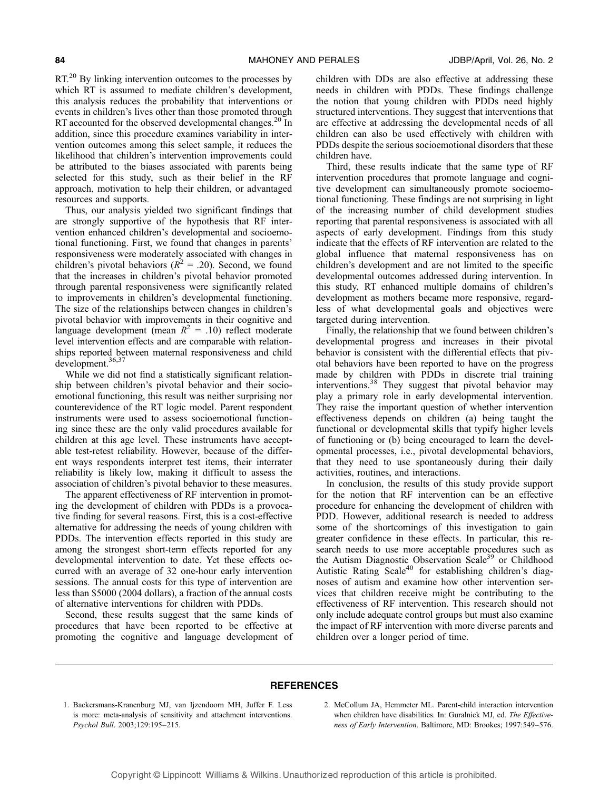RT.<sup>20</sup> By linking intervention outcomes to the processes by which RT is assumed to mediate children's development, this analysis reduces the probability that interventions or events in children's lives other than those promoted through RT accounted for the observed developmental changes.<sup>20</sup> In addition, since this procedure examines variability in intervention outcomes among this select sample, it reduces the likelihood that children's intervention improvements could be attributed to the biases associated with parents being selected for this study, such as their belief in the RF approach, motivation to help their children, or advantaged resources and supports.

Thus, our analysis yielded two significant findings that are strongly supportive of the hypothesis that RF intervention enhanced children's developmental and socioemotional functioning. First, we found that changes in parents' responsiveness were moderately associated with changes in children's pivotal behaviors ( $R^2 = .20$ ). Second, we found that the increases in children's pivotal behavior promoted through parental responsiveness were significantly related to improvements in children's developmental functioning. The size of the relationships between changes in children's pivotal behavior with improvements in their cognitive and language development (mean  $R^2 = .10$ ) reflect moderate level intervention effects and are comparable with relationships reported between maternal responsiveness and child development.36,37

While we did not find a statistically significant relationship between children's pivotal behavior and their socioemotional functioning, this result was neither surprising nor counterevidence of the RT logic model. Parent respondent instruments were used to assess socioemotional functioning since these are the only valid procedures available for children at this age level. These instruments have acceptable test-retest reliability. However, because of the different ways respondents interpret test items, their interrater reliability is likely low, making it difficult to assess the association of children's pivotal behavior to these measures.

The apparent effectiveness of RF intervention in promoting the development of children with PDDs is a provocative finding for several reasons. First, this is a cost-effective alternative for addressing the needs of young children with PDDs. The intervention effects reported in this study are among the strongest short-term effects reported for any developmental intervention to date. Yet these effects occurred with an average of 32 one-hour early intervention sessions. The annual costs for this type of intervention are less than \$5000 (2004 dollars), a fraction of the annual costs of alternative interventions for children with PDDs.

Second, these results suggest that the same kinds of procedures that have been reported to be effective at promoting the cognitive and language development of children with DDs are also effective at addressing these needs in children with PDDs. These findings challenge the notion that young children with PDDs need highly structured interventions. They suggest that interventions that are effective at addressing the developmental needs of all children can also be used effectively with children with PDDs despite the serious socioemotional disorders that these children have.

Third, these results indicate that the same type of RF intervention procedures that promote language and cognitive development can simultaneously promote socioemotional functioning. These findings are not surprising in light of the increasing number of child development studies reporting that parental responsiveness is associated with all aspects of early development. Findings from this study indicate that the effects of RF intervention are related to the global influence that maternal responsiveness has on children's development and are not limited to the specific developmental outcomes addressed during intervention. In this study, RT enhanced multiple domains of children's development as mothers became more responsive, regardless of what developmental goals and objectives were targeted during intervention.

Finally, the relationship that we found between children's developmental progress and increases in their pivotal behavior is consistent with the differential effects that pivotal behaviors have been reported to have on the progress made by children with PDDs in discrete trial training interventions.<sup>38</sup> They suggest that pivotal behavior may play a primary role in early developmental intervention. They raise the important question of whether intervention effectiveness depends on children (a) being taught the functional or developmental skills that typify higher levels of functioning or (b) being encouraged to learn the developmental processes, i.e., pivotal developmental behaviors, that they need to use spontaneously during their daily activities, routines, and interactions.

In conclusion, the results of this study provide support for the notion that RF intervention can be an effective procedure for enhancing the development of children with PDD. However, additional research is needed to address some of the shortcomings of this investigation to gain greater confidence in these effects. In particular, this research needs to use more acceptable procedures such as the Autism Diagnostic Observation Scale<sup>39</sup> or Childhood Autistic Rating  $Scale^{40}$  for establishing children's diagnoses of autism and examine how other intervention services that children receive might be contributing to the effectiveness of RF intervention. This research should not only include adequate control groups but must also examine the impact of RF intervention with more diverse parents and children over a longer period of time.

# **REFERENCES**

- 1. Backersmans-Kranenburg MJ, van Ijzendoorn MH, Juffer F. Less is more: meta-analysis of sensitivity and attachment interventions. Psychol Bull. 2003;129:195–215.
- 2. McCollum JA, Hemmeter ML. Parent-child interaction intervention when children have disabilities. In: Guralnick MJ, ed. The Effectiveness of Early Intervention. Baltimore, MD: Brookes; 1997:549–576.